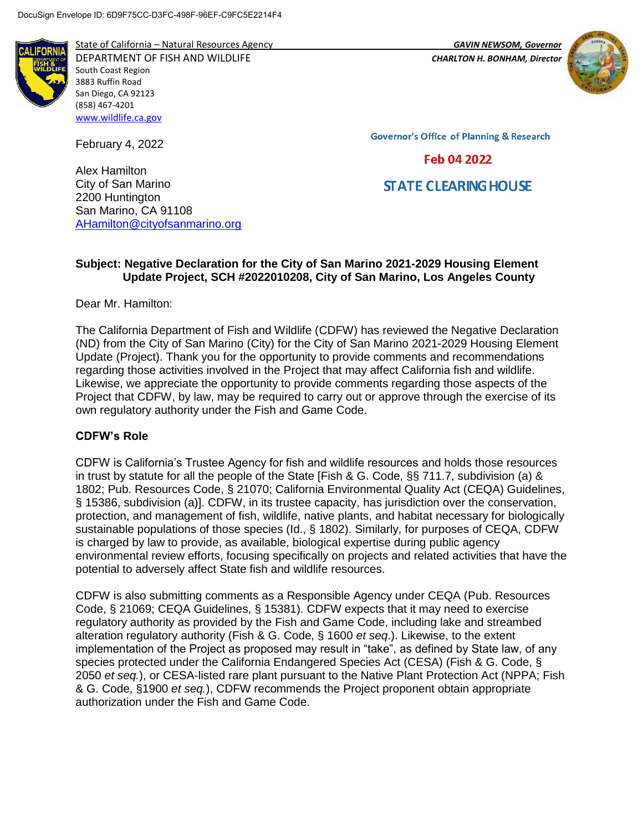

State of California – Natural Resources Agency *GAVIN NEWSOM, Governor*

DEPARTMENT OF FISH AND WILDLIFE *CHARLTON H. BONHAM, Director*  South Coast Region 3883 Ruffin Road San Diego, CA 92123 (858) 467-4201 [www.wildlife.ca.gov](http://www.wildlife.ca.gov/)

[AHamilton@cityofsanmarino.org](mailto:AHamilton@cityofsanmarino.org)

February 4, 2022

Alex Hamilton City of San Marino 2200 Huntington San Marino, CA 91108



**Governor's Office of Planning & Research** 

#### Feb 04 2022

# **STATE CLEARING HOUSE**

**Subject: Negative Declaration for the City of San Marino 2021-2029 Housing Element Update Project, SCH #2022010208, City of San Marino, Los Angeles County**

Dear Mr. Hamilton:

The California Department of Fish and Wildlife (CDFW) has reviewed the Negative Declaration (ND) from the City of San Marino (City) for the City of San Marino 2021-2029 Housing Element Update (Project). Thank you for the opportunity to provide comments and recommendations regarding those activities involved in the Project that may affect California fish and wildlife. Likewise, we appreciate the opportunity to provide comments regarding those aspects of the Project that CDFW, by law, may be required to carry out or approve through the exercise of its own regulatory authority under the Fish and Game Code.

### **CDFW's Role**

CDFW is California's Trustee Agency for fish and wildlife resources and holds those resources in trust by statute for all the people of the State [Fish & G. Code, §§ 711.7, subdivision (a) & 1802; Pub. Resources Code, § 21070; California Environmental Quality Act (CEQA) Guidelines, § 15386, subdivision (a)]. CDFW, in its trustee capacity, has jurisdiction over the conservation, protection, and management of fish, wildlife, native plants, and habitat necessary for biologically sustainable populations of those species (Id., § 1802). Similarly, for purposes of CEQA, CDFW is charged by law to provide, as available, biological expertise during public agency environmental review efforts, focusing specifically on projects and related activities that have the potential to adversely affect State fish and wildlife resources.

CDFW is also submitting comments as a Responsible Agency under CEQA (Pub. Resources Code, § 21069; CEQA Guidelines, § 15381). CDFW expects that it may need to exercise regulatory authority as provided by the Fish and Game Code, including lake and streambed alteration regulatory authority (Fish & G. Code, § 1600 *et seq*.). Likewise, to the extent implementation of the Project as proposed may result in "take", as defined by State law, of any species protected under the California Endangered Species Act (CESA) (Fish & G. Code, § 2050 *et seq.*), or CESA-listed rare plant pursuant to the Native Plant Protection Act (NPPA; Fish & G. Code, §1900 *et seq.*), CDFW recommends the Project proponent obtain appropriate authorization under the Fish and Game Code.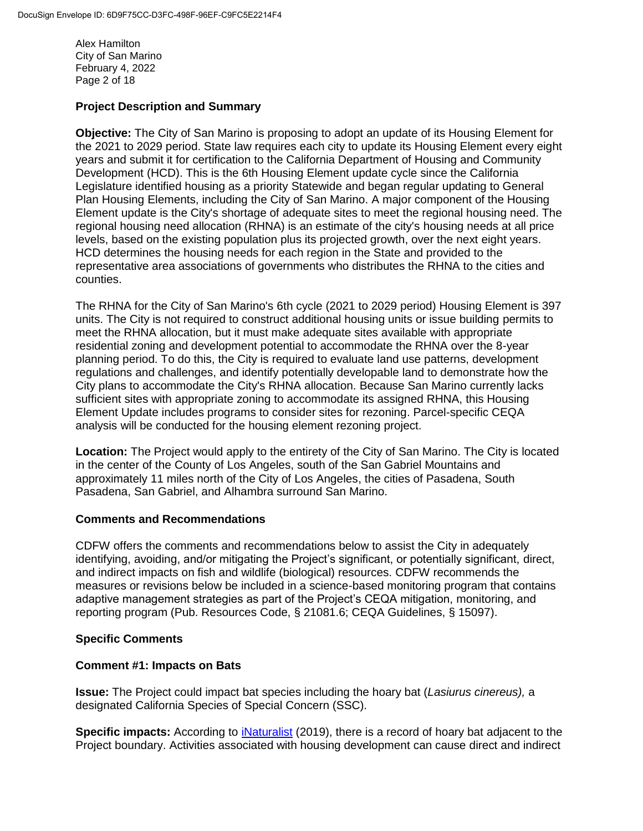Alex Hamilton City of San Marino February 4, 2022 Page 2 of 18

## **Project Description and Summary**

**Objective:** The City of San Marino is proposing to adopt an update of its Housing Element for the 2021 to 2029 period. State law requires each city to update its Housing Element every eight years and submit it for certification to the California Department of Housing and Community Development (HCD). This is the 6th Housing Element update cycle since the California Legislature identified housing as a priority Statewide and began regular updating to General Plan Housing Elements, including the City of San Marino. A major component of the Housing Element update is the City's shortage of adequate sites to meet the regional housing need. The regional housing need allocation (RHNA) is an estimate of the city's housing needs at all price levels, based on the existing population plus its projected growth, over the next eight years. HCD determines the housing needs for each region in the State and provided to the representative area associations of governments who distributes the RHNA to the cities and counties.

The RHNA for the City of San Marino's 6th cycle (2021 to 2029 period) Housing Element is 397 units. The City is not required to construct additional housing units or issue building permits to meet the RHNA allocation, but it must make adequate sites available with appropriate residential zoning and development potential to accommodate the RHNA over the 8-year planning period. To do this, the City is required to evaluate land use patterns, development regulations and challenges, and identify potentially developable land to demonstrate how the City plans to accommodate the City's RHNA allocation. Because San Marino currently lacks sufficient sites with appropriate zoning to accommodate its assigned RHNA, this Housing Element Update includes programs to consider sites for rezoning. Parcel-specific CEQA analysis will be conducted for the housing element rezoning project.

**Location:** The Project would apply to the entirety of the City of San Marino. The City is located in the center of the County of Los Angeles, south of the San Gabriel Mountains and approximately 11 miles north of the City of Los Angeles, the cities of Pasadena, South Pasadena, San Gabriel, and Alhambra surround San Marino.

### **Comments and Recommendations**

CDFW offers the comments and recommendations below to assist the City in adequately identifying, avoiding, and/or mitigating the Project's significant, or potentially significant, direct, and indirect impacts on fish and wildlife (biological) resources. CDFW recommends the measures or revisions below be included in a science-based monitoring program that contains adaptive management strategies as part of the Project's CEQA mitigation, monitoring, and reporting program (Pub. Resources Code, § 21081.6; CEQA Guidelines, § 15097).

### **Specific Comments**

### **Comment #1: Impacts on Bats**

**Issue:** The Project could impact bat species including the hoary bat (*Lasiurus cinereus),* a designated California Species of Special Concern (SSC).

**Specific impacts:** According to *iNaturalist* (2019), there is a record of hoary bat adjacent to the Project boundary. Activities associated with housing development can cause direct and indirect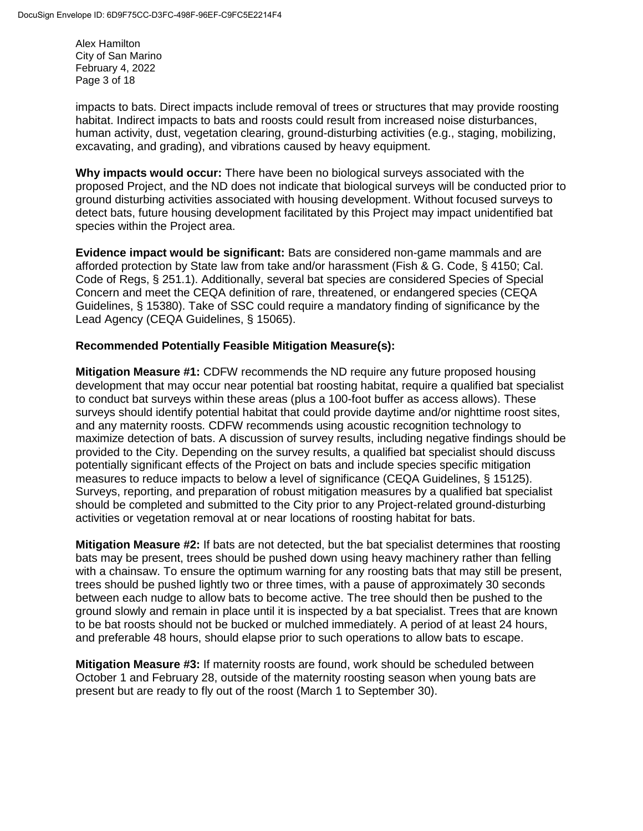Alex Hamilton City of San Marino February 4, 2022 Page 3 of 18

impacts to bats. Direct impacts include removal of trees or structures that may provide roosting habitat. Indirect impacts to bats and roosts could result from increased noise disturbances, human activity, dust, vegetation clearing, ground-disturbing activities (e.g., staging, mobilizing, excavating, and grading), and vibrations caused by heavy equipment.

**Why impacts would occur:** There have been no biological surveys associated with the proposed Project, and the ND does not indicate that biological surveys will be conducted prior to ground disturbing activities associated with housing development. Without focused surveys to detect bats, future housing development facilitated by this Project may impact unidentified bat species within the Project area.

**Evidence impact would be significant:** Bats are considered non-game mammals and are afforded protection by State law from take and/or harassment (Fish & G. Code, § 4150; Cal. Code of Regs, § 251.1). Additionally, several bat species are considered Species of Special Concern and meet the CEQA definition of rare, threatened, or endangered species (CEQA Guidelines, § 15380). Take of SSC could require a mandatory finding of significance by the Lead Agency (CEQA Guidelines, § 15065).

### **Recommended Potentially Feasible Mitigation Measure(s):**

**Mitigation Measure #1:** CDFW recommends the ND require any future proposed housing development that may occur near potential bat roosting habitat, require a qualified bat specialist to conduct bat surveys within these areas (plus a 100-foot buffer as access allows). These surveys should identify potential habitat that could provide daytime and/or nighttime roost sites, and any maternity roosts. CDFW recommends using acoustic recognition technology to maximize detection of bats. A discussion of survey results, including negative findings should be provided to the City. Depending on the survey results, a qualified bat specialist should discuss potentially significant effects of the Project on bats and include species specific mitigation measures to reduce impacts to below a level of significance (CEQA Guidelines, § 15125). Surveys, reporting, and preparation of robust mitigation measures by a qualified bat specialist should be completed and submitted to the City prior to any Project-related ground-disturbing activities or vegetation removal at or near locations of roosting habitat for bats.

**Mitigation Measure #2:** If bats are not detected, but the bat specialist determines that roosting bats may be present, trees should be pushed down using heavy machinery rather than felling with a chainsaw. To ensure the optimum warning for any roosting bats that may still be present, trees should be pushed lightly two or three times, with a pause of approximately 30 seconds between each nudge to allow bats to become active. The tree should then be pushed to the ground slowly and remain in place until it is inspected by a bat specialist. Trees that are known to be bat roosts should not be bucked or mulched immediately. A period of at least 24 hours, and preferable 48 hours, should elapse prior to such operations to allow bats to escape.

**Mitigation Measure #3:** If maternity roosts are found, work should be scheduled between October 1 and February 28, outside of the maternity roosting season when young bats are present but are ready to fly out of the roost (March 1 to September 30).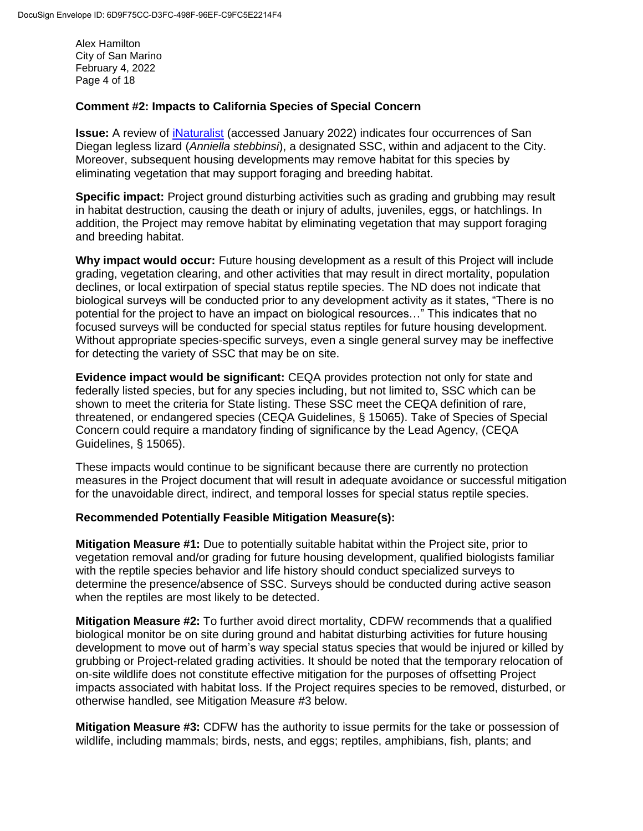Alex Hamilton City of San Marino February 4, 2022 Page 4 of 18

#### **Comment #2: Impacts to California Species of Special Concern**

**Issue:** A review of [iNaturalist](https://www.inaturalist.org/observations?nelat=34.13762386795482&nelng=-118.0879459989155&place_id=any&swlat=34.10497604968939&swlng=-118.1421629172924&taxon_id=479459) (accessed January 2022) indicates four occurrences of San Diegan legless lizard (*Anniella stebbinsi*), a designated SSC, within and adjacent to the City. Moreover, subsequent housing developments may remove habitat for this species by eliminating vegetation that may support foraging and breeding habitat.

**Specific impact:** Project ground disturbing activities such as grading and grubbing may result in habitat destruction, causing the death or injury of adults, juveniles, eggs, or hatchlings. In addition, the Project may remove habitat by eliminating vegetation that may support foraging and breeding habitat.

**Why impact would occur:** Future housing development as a result of this Project will include grading, vegetation clearing, and other activities that may result in direct mortality, population declines, or local extirpation of special status reptile species. The ND does not indicate that biological surveys will be conducted prior to any development activity as it states, "There is no potential for the project to have an impact on biological resources…" This indicates that no focused surveys will be conducted for special status reptiles for future housing development. Without appropriate species-specific surveys, even a single general survey may be ineffective for detecting the variety of SSC that may be on site.

**Evidence impact would be significant:** CEQA provides protection not only for state and federally listed species, but for any species including, but not limited to, SSC which can be shown to meet the criteria for State listing. These SSC meet the CEQA definition of rare, threatened, or endangered species (CEQA Guidelines, § 15065). Take of Species of Special Concern could require a mandatory finding of significance by the Lead Agency, (CEQA Guidelines, § 15065).

These impacts would continue to be significant because there are currently no protection measures in the Project document that will result in adequate avoidance or successful mitigation for the unavoidable direct, indirect, and temporal losses for special status reptile species.

#### **Recommended Potentially Feasible Mitigation Measure(s):**

**Mitigation Measure #1:** Due to potentially suitable habitat within the Project site, prior to vegetation removal and/or grading for future housing development, qualified biologists familiar with the reptile species behavior and life history should conduct specialized surveys to determine the presence/absence of SSC. Surveys should be conducted during active season when the reptiles are most likely to be detected.

**Mitigation Measure #2:** To further avoid direct mortality, CDFW recommends that a qualified biological monitor be on site during ground and habitat disturbing activities for future housing development to move out of harm's way special status species that would be injured or killed by grubbing or Project-related grading activities. It should be noted that the temporary relocation of on-site wildlife does not constitute effective mitigation for the purposes of offsetting Project impacts associated with habitat loss. If the Project requires species to be removed, disturbed, or otherwise handled, see Mitigation Measure #3 below.

**Mitigation Measure #3:** CDFW has the authority to issue permits for the take or possession of wildlife, including mammals; birds, nests, and eggs; reptiles, amphibians, fish, plants; and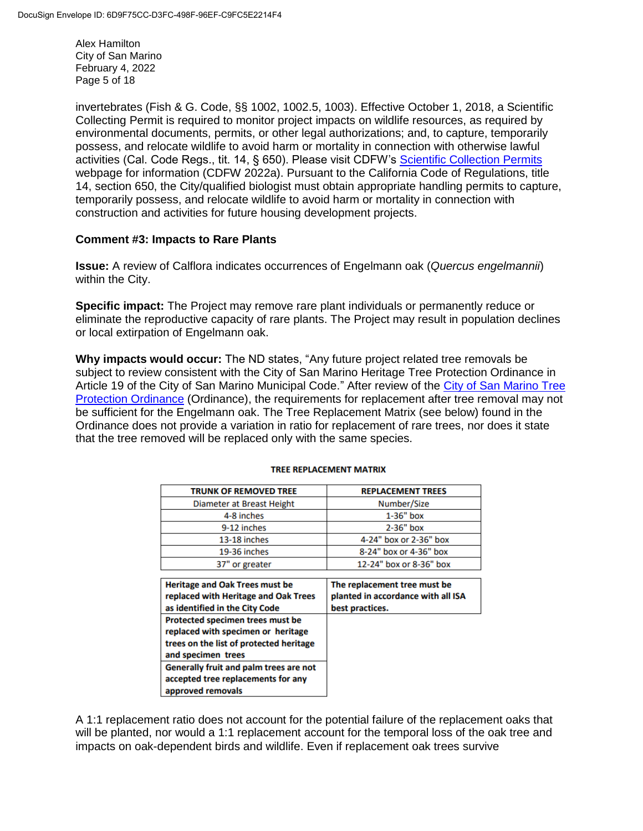Alex Hamilton City of San Marino February 4, 2022 Page 5 of 18

invertebrates (Fish & G. Code, §§ 1002, 1002.5, 1003). Effective October 1, 2018, a Scientific Collecting Permit is required to monitor project impacts on wildlife resources, as required by environmental documents, permits, or other legal authorizations; and, to capture, temporarily possess, and relocate wildlife to avoid harm or mortality in connection with otherwise lawful activities (Cal. Code Regs., tit. 14, § 650). Please visit CDFW's [Scientific Collection Permits](https://wildlife.ca.gov/Licensing/Scientific-Collecting#53949678) webpage for information (CDFW 2022a). Pursuant to the California Code of Regulations, title 14, section 650, the City/qualified biologist must obtain appropriate handling permits to capture, temporarily possess, and relocate wildlife to avoid harm or mortality in connection with construction and activities for future housing development projects.

### **Comment #3: Impacts to Rare Plants**

**Issue:** A review of Calflora indicates occurrences of Engelmann oak (*Quercus engelmannii*) within the City.

**Specific impact:** The Project may remove rare plant individuals or permanently reduce or eliminate the reproductive capacity of rare plants. The Project may result in population declines or local extirpation of Engelmann oak.

**Why impacts would occur:** The ND states, "Any future project related tree removals be subject to review consistent with the City of San Marino Heritage Tree Protection Ordinance in Article 19 of the City of San Marino Municipal Code." After review of the City of San Marino Tree [Protection Ordinance](https://cms9files.revize.com/sanmarinoca/2%20O-18-1341_CS.pdf) (Ordinance), the requirements for replacement after tree removal may not be sufficient for the Engelmann oak. The Tree Replacement Matrix (see below) found in the Ordinance does not provide a variation in ratio for replacement of rare trees, nor does it state that the tree removed will be replaced only with the same species.

| <b>TRUNK OF REMOVED TREE</b>            | <b>REPLACEMENT TREES</b>           |
|-----------------------------------------|------------------------------------|
| Diameter at Breast Height               | Number/Size                        |
| 4-8 inches                              | $1-36"$ box                        |
| 9-12 inches                             | $2-36"$ box                        |
| 13-18 inches                            | 4-24" box or 2-36" box             |
| 19-36 inches                            | 8-24" box or 4-36" box             |
| 37" or greater                          | 12-24" box or 8-36" box            |
|                                         |                                    |
| <b>Heritage and Oak Trees must be</b>   | The replacement tree must be       |
| replaced with Heritage and Oak Trees    | planted in accordance with all ISA |
| as identified in the City Code          | best practices.                    |
| Protected specimen trees must be        |                                    |
| replaced with specimen or heritage      |                                    |
| trees on the list of protected heritage |                                    |
| and specimen trees                      |                                    |
| Generally fruit and palm trees are not  |                                    |
| accepted tree replacements for any      |                                    |
| approved removals                       |                                    |

#### **TREE REPLACEMENT MATRIX**

A 1:1 replacement ratio does not account for the potential failure of the replacement oaks that will be planted, nor would a 1:1 replacement account for the temporal loss of the oak tree and impacts on oak-dependent birds and wildlife. Even if replacement oak trees survive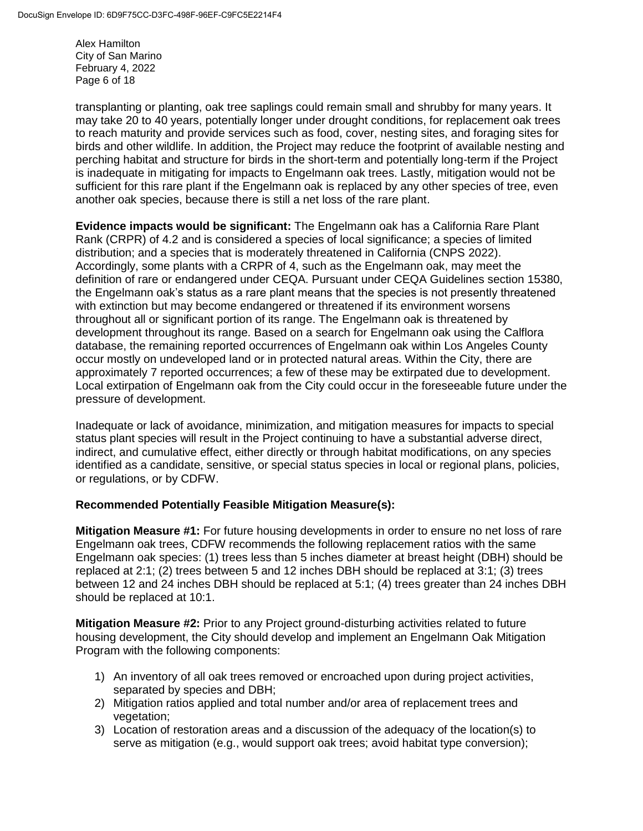Alex Hamilton City of San Marino February 4, 2022 Page 6 of 18

transplanting or planting, oak tree saplings could remain small and shrubby for many years. It may take 20 to 40 years, potentially longer under drought conditions, for replacement oak trees to reach maturity and provide services such as food, cover, nesting sites, and foraging sites for birds and other wildlife. In addition, the Project may reduce the footprint of available nesting and perching habitat and structure for birds in the short-term and potentially long-term if the Project is inadequate in mitigating for impacts to Engelmann oak trees. Lastly, mitigation would not be sufficient for this rare plant if the Engelmann oak is replaced by any other species of tree, even another oak species, because there is still a net loss of the rare plant.

**Evidence impacts would be significant:** The Engelmann oak has a California Rare Plant Rank (CRPR) of 4.2 and is considered a species of local significance; a species of limited distribution; and a species that is moderately threatened in California (CNPS 2022). Accordingly, some plants with a CRPR of 4, such as the Engelmann oak, may meet the definition of rare or endangered under CEQA. Pursuant under CEQA Guidelines section 15380, the Engelmann oak's status as a rare plant means that the species is not presently threatened with extinction but may become endangered or threatened if its environment worsens throughout all or significant portion of its range. The Engelmann oak is threatened by development throughout its range. Based on a search for Engelmann oak using the Calflora database, the remaining reported occurrences of Engelmann oak within Los Angeles County occur mostly on undeveloped land or in protected natural areas. Within the City, there are approximately 7 reported occurrences; a few of these may be extirpated due to development. Local extirpation of Engelmann oak from the City could occur in the foreseeable future under the pressure of development.

Inadequate or lack of avoidance, minimization, and mitigation measures for impacts to special status plant species will result in the Project continuing to have a substantial adverse direct, indirect, and cumulative effect, either directly or through habitat modifications, on any species identified as a candidate, sensitive, or special status species in local or regional plans, policies, or regulations, or by CDFW.

### **Recommended Potentially Feasible Mitigation Measure(s):**

**Mitigation Measure #1:** For future housing developments in order to ensure no net loss of rare Engelmann oak trees, CDFW recommends the following replacement ratios with the same Engelmann oak species: (1) trees less than 5 inches diameter at breast height (DBH) should be replaced at 2:1; (2) trees between 5 and 12 inches DBH should be replaced at 3:1; (3) trees between 12 and 24 inches DBH should be replaced at 5:1; (4) trees greater than 24 inches DBH should be replaced at 10:1.

**Mitigation Measure #2:** Prior to any Project ground-disturbing activities related to future housing development, the City should develop and implement an Engelmann Oak Mitigation Program with the following components:

- 1) An inventory of all oak trees removed or encroached upon during project activities, separated by species and DBH;
- 2) Mitigation ratios applied and total number and/or area of replacement trees and vegetation:
- 3) Location of restoration areas and a discussion of the adequacy of the location(s) to serve as mitigation (e.g., would support oak trees; avoid habitat type conversion);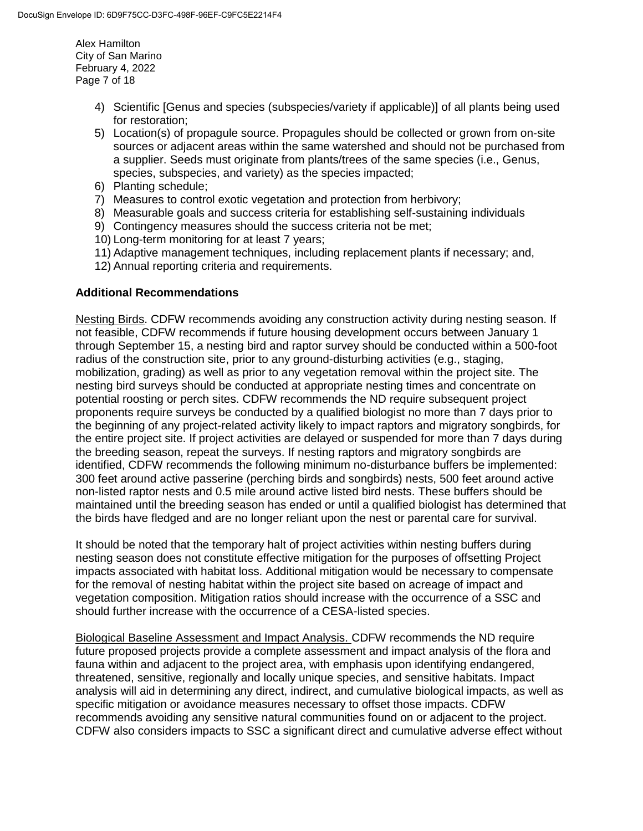Alex Hamilton City of San Marino February 4, 2022 Page 7 of 18

- 4) Scientific [Genus and species (subspecies/variety if applicable)] of all plants being used for restoration;
- 5) Location(s) of propagule source. Propagules should be collected or grown from on-site sources or adjacent areas within the same watershed and should not be purchased from a supplier. Seeds must originate from plants/trees of the same species (i.e., Genus, species, subspecies, and variety) as the species impacted;
- 6) Planting schedule;
- 7) Measures to control exotic vegetation and protection from herbivory;
- 8) Measurable goals and success criteria for establishing self-sustaining individuals
- 9) Contingency measures should the success criteria not be met;
- 10) Long-term monitoring for at least 7 years;
- 11) Adaptive management techniques, including replacement plants if necessary; and,
- 12) Annual reporting criteria and requirements.

#### **Additional Recommendations**

Nesting Birds. CDFW recommends avoiding any construction activity during nesting season. If not feasible, CDFW recommends if future housing development occurs between January 1 through September 15, a nesting bird and raptor survey should be conducted within a 500-foot radius of the construction site, prior to any ground-disturbing activities (e.g., staging, mobilization, grading) as well as prior to any vegetation removal within the project site. The nesting bird surveys should be conducted at appropriate nesting times and concentrate on potential roosting or perch sites. CDFW recommends the ND require subsequent project proponents require surveys be conducted by a qualified biologist no more than 7 days prior to the beginning of any project-related activity likely to impact raptors and migratory songbirds, for the entire project site. If project activities are delayed or suspended for more than 7 days during the breeding season, repeat the surveys. If nesting raptors and migratory songbirds are identified, CDFW recommends the following minimum no-disturbance buffers be implemented: 300 feet around active passerine (perching birds and songbirds) nests, 500 feet around active non-listed raptor nests and 0.5 mile around active listed bird nests. These buffers should be maintained until the breeding season has ended or until a qualified biologist has determined that the birds have fledged and are no longer reliant upon the nest or parental care for survival.

It should be noted that the temporary halt of project activities within nesting buffers during nesting season does not constitute effective mitigation for the purposes of offsetting Project impacts associated with habitat loss. Additional mitigation would be necessary to compensate for the removal of nesting habitat within the project site based on acreage of impact and vegetation composition. Mitigation ratios should increase with the occurrence of a SSC and should further increase with the occurrence of a CESA-listed species.

Biological Baseline Assessment and Impact Analysis. CDFW recommends the ND require future proposed projects provide a complete assessment and impact analysis of the flora and fauna within and adjacent to the project area, with emphasis upon identifying endangered, threatened, sensitive, regionally and locally unique species, and sensitive habitats. Impact analysis will aid in determining any direct, indirect, and cumulative biological impacts, as well as specific mitigation or avoidance measures necessary to offset those impacts. CDFW recommends avoiding any sensitive natural communities found on or adjacent to the project. CDFW also considers impacts to SSC a significant direct and cumulative adverse effect without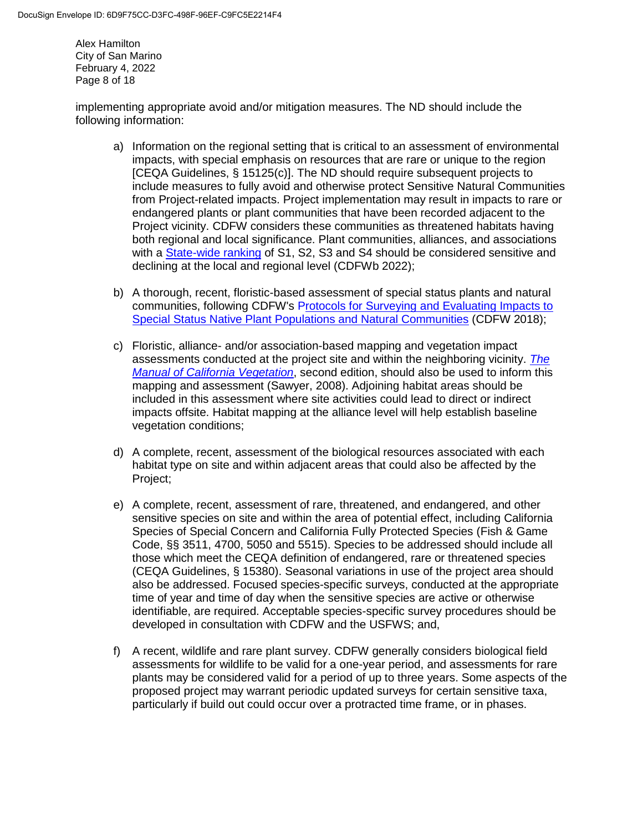Alex Hamilton City of San Marino February 4, 2022 Page 8 of 18

implementing appropriate avoid and/or mitigation measures. The ND should include the following information:

- a) Information on the regional setting that is critical to an assessment of environmental impacts, with special emphasis on resources that are rare or unique to the region [CEQA Guidelines, § 15125(c)]. The ND should require subsequent projects to include measures to fully avoid and otherwise protect Sensitive Natural Communities from Project-related impacts. Project implementation may result in impacts to rare or endangered plants or plant communities that have been recorded adjacent to the Project vicinity. CDFW considers these communities as threatened habitats having both regional and local significance. Plant communities, alliances, and associations with a [State-wide ranking](https://wildlife.ca.gov/Data/VegCAMP/Natural-Communities#sensitive%20natural%20communities) of S1, S2, S3 and S4 should be considered sensitive and declining at the local and regional level (CDFWb 2022);
- b) A thorough, recent, floristic-based assessment of special status plants and natural communities, following CDFW's Protocols for Surveying and Evaluating Impacts to [Special Status Native Plant Populations and Natural Communities](https://nrm.dfg.ca.gov/FileHandler.ashx?DocumentID=18959&inline) (CDFW 2018);
- c) Floristic, alliance- and/or association-based mapping and vegetation impact assessments conducted at the project site and within the neighboring vicinity. *[The](https://vegetation.cnps.org/)  [Manual of California Vegetation](https://vegetation.cnps.org/)*, second edition, should also be used to inform this mapping and assessment (Sawyer, 2008). Adjoining habitat areas should be included in this assessment where site activities could lead to direct or indirect impacts offsite. Habitat mapping at the alliance level will help establish baseline vegetation conditions;
- d) A complete, recent, assessment of the biological resources associated with each habitat type on site and within adjacent areas that could also be affected by the Project;
- e) A complete, recent, assessment of rare, threatened, and endangered, and other sensitive species on site and within the area of potential effect, including California Species of Special Concern and California Fully Protected Species (Fish & Game Code, §§ 3511, 4700, 5050 and 5515). Species to be addressed should include all those which meet the CEQA definition of endangered, rare or threatened species (CEQA Guidelines, § 15380). Seasonal variations in use of the project area should also be addressed. Focused species-specific surveys, conducted at the appropriate time of year and time of day when the sensitive species are active or otherwise identifiable, are required. Acceptable species-specific survey procedures should be developed in consultation with CDFW and the USFWS; and,
- f) A recent, wildlife and rare plant survey. CDFW generally considers biological field assessments for wildlife to be valid for a one-year period, and assessments for rare plants may be considered valid for a period of up to three years. Some aspects of the proposed project may warrant periodic updated surveys for certain sensitive taxa, particularly if build out could occur over a protracted time frame, or in phases.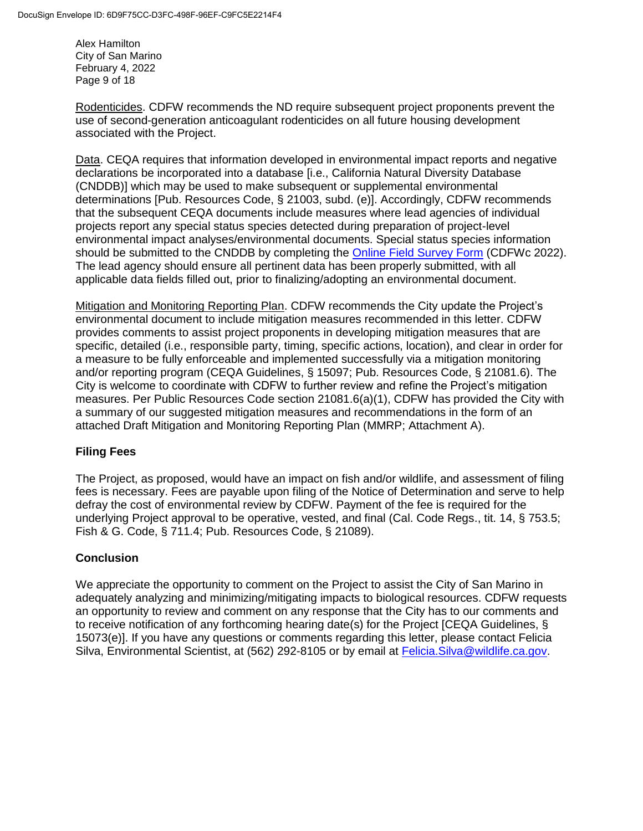Alex Hamilton City of San Marino February 4, 2022 Page 9 of 18

Rodenticides. CDFW recommends the ND require subsequent project proponents prevent the use of second-generation anticoagulant rodenticides on all future housing development associated with the Project.

Data. CEQA requires that information developed in environmental impact reports and negative declarations be incorporated into a database [i.e., California Natural Diversity Database (CNDDB)] which may be used to make subsequent or supplemental environmental determinations [Pub. Resources Code, § 21003, subd. (e)]. Accordingly, CDFW recommends that the subsequent CEQA documents include measures where lead agencies of individual projects report any special status species detected during preparation of project-level environmental impact analyses/environmental documents. Special status species information should be submitted to the CNDDB by completing the [Online Field Survey Form](https://wildlife.ca.gov/Data/CNDDB/Submitting-Data) (CDFWc 2022). The lead agency should ensure all pertinent data has been properly submitted, with all applicable data fields filled out, prior to finalizing/adopting an environmental document.

Mitigation and Monitoring Reporting Plan. CDFW recommends the City update the Project's environmental document to include mitigation measures recommended in this letter. CDFW provides comments to assist project proponents in developing mitigation measures that are specific, detailed (i.e., responsible party, timing, specific actions, location), and clear in order for a measure to be fully enforceable and implemented successfully via a mitigation monitoring and/or reporting program (CEQA Guidelines, § 15097; Pub. Resources Code, § 21081.6). The City is welcome to coordinate with CDFW to further review and refine the Project's mitigation measures. Per Public Resources Code section 21081.6(a)(1), CDFW has provided the City with a summary of our suggested mitigation measures and recommendations in the form of an attached Draft Mitigation and Monitoring Reporting Plan (MMRP; Attachment A).

# **Filing Fees**

The Project, as proposed, would have an impact on fish and/or wildlife, and assessment of filing fees is necessary. Fees are payable upon filing of the Notice of Determination and serve to help defray the cost of environmental review by CDFW. Payment of the fee is required for the underlying Project approval to be operative, vested, and final (Cal. Code Regs., tit. 14, § 753.5; Fish & G. Code, § 711.4; Pub. Resources Code, § 21089).

# **Conclusion**

We appreciate the opportunity to comment on the Project to assist the City of San Marino in adequately analyzing and minimizing/mitigating impacts to biological resources. CDFW requests an opportunity to review and comment on any response that the City has to our comments and to receive notification of any forthcoming hearing date(s) for the Project [CEQA Guidelines, § 15073(e)]. If you have any questions or comments regarding this letter, please contact Felicia Silva, Environmental Scientist, at (562) 292-8105 or by email at [Felicia.Silva@wildlife.ca.gov.](mailto:Felicia.Silva@wildlife.ca.gov)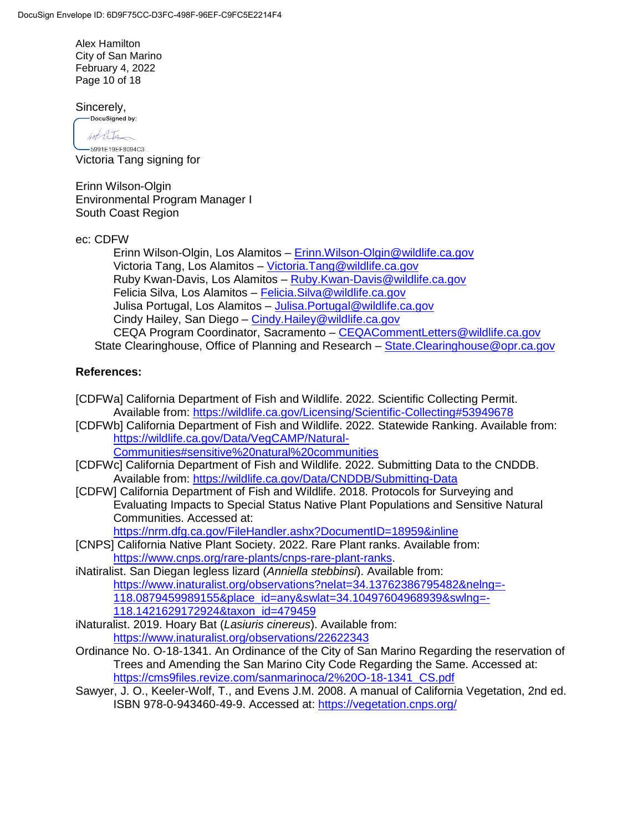Alex Hamilton City of San Marino February 4, 2022 Page 10 of 18

Sincerely, -DocuSigned by:

hot lits  $-5991E19EF8094C3...$ Victoria Tang signing for

Erinn Wilson-Olgin Environmental Program Manager I South Coast Region

ec: CDFW

Erinn Wilson-Olgin, Los Alamitos – [Erinn.Wilson-Olgin@wildlife.ca.gov](mailto:Erinn.Wilson-Olgin@wildlife.ca.gov) Victoria Tang, Los Alamitos – [Victoria.Tang@wildlife.ca.gov](mailto:Victoria.Tang@wildlife.ca.gov) Ruby Kwan-Davis, Los Alamitos – [Ruby.Kwan-Davis@wildlife.ca.gov](mailto:Ruby.Kwan-Davis@wildlife.ca.gov) Felicia Silva, Los Alamitos – [Felicia.Silva@wildlife.ca.gov](mailto:Felicia.Silva@wildlife.ca.gov) Julisa Portugal, Los Alamitos - [Julisa.Portugal@wildlife.ca.gov](mailto:Julisa.Portugal@wildlife.ca.gov) Cindy Hailey, San Diego – [Cindy.Hailey@wildlife.ca.gov](mailto:Cindy.Hailey@wildlife.ca.gov) CEQA Program Coordinator, Sacramento - CEQACommentLetters@wildlife.ca.gov State Clearinghouse, Office of Planning and Research - [State.Clearinghouse@opr.ca.gov](mailto:State.Clearinghouse@opr.ca.gov)

### **References:**

- [CDFWa] California Department of Fish and Wildlife. 2022. Scientific Collecting Permit. Available from:<https://wildlife.ca.gov/Licensing/Scientific-Collecting#53949678>
- [CDFWb] California Department of Fish and Wildlife. 2022. Statewide Ranking. Available from: [https://wildlife.ca.gov/Data/VegCAMP/Natural-](https://wildlife.ca.gov/Data/VegCAMP/Natural-Communities#sensitive%20natural%20communities)
	- [Communities#sensitive%20natural%20communities](https://wildlife.ca.gov/Data/VegCAMP/Natural-Communities#sensitive%20natural%20communities)
- [CDFWc] California Department of Fish and Wildlife. 2022. Submitting Data to the CNDDB. Available from:<https://wildlife.ca.gov/Data/CNDDB/Submitting-Data>
- [CDFW] California Department of Fish and Wildlife. 2018. Protocols for Surveying and Evaluating Impacts to Special Status Native Plant Populations and Sensitive Natural Communities. Accessed at:

<https://nrm.dfg.ca.gov/FileHandler.ashx?DocumentID=18959&inline>

- [CNPS] California Native Plant Society. 2022. Rare Plant ranks. Available from: [https://www.cnps.org/rare-plants/cnps-rare-plant-ranks.](https://www.cnps.org/rare-plants/cnps-rare-plant-ranks)
- iNatiralist. San Diegan legless lizard (*Anniella stebbinsi*). Available from: [https://www.inaturalist.org/observations?nelat=34.13762386795482&nelng=-](https://www.inaturalist.org/observations?nelat=34.13762386795482&nelng=-118.0879459989155&place_id=any&swlat=34.10497604968939&swlng=-118.1421629172924&taxon_id=479459) [118.0879459989155&place\\_id=any&swlat=34.10497604968939&swlng=-](https://www.inaturalist.org/observations?nelat=34.13762386795482&nelng=-118.0879459989155&place_id=any&swlat=34.10497604968939&swlng=-118.1421629172924&taxon_id=479459) [118.1421629172924&taxon\\_id=479459](https://www.inaturalist.org/observations?nelat=34.13762386795482&nelng=-118.0879459989155&place_id=any&swlat=34.10497604968939&swlng=-118.1421629172924&taxon_id=479459)
- iNaturalist. 2019. Hoary Bat (*Lasiuris cinereus*). Available from: <https://www.inaturalist.org/observations/22622343>
- Ordinance No. O-18-1341. An Ordinance of the City of San Marino Regarding the reservation of Trees and Amending the San Marino City Code Regarding the Same. Accessed at: [https://cms9files.revize.com/sanmarinoca/2%20O-18-1341\\_CS.pdf](https://cms9files.revize.com/sanmarinoca/2%20O-18-1341_CS.pdf)
- Sawyer, J. O., Keeler-Wolf, T., and Evens J.M. 2008. A manual of California Vegetation, 2nd ed. ISBN 978-0-943460-49-9. Accessed at:<https://vegetation.cnps.org/>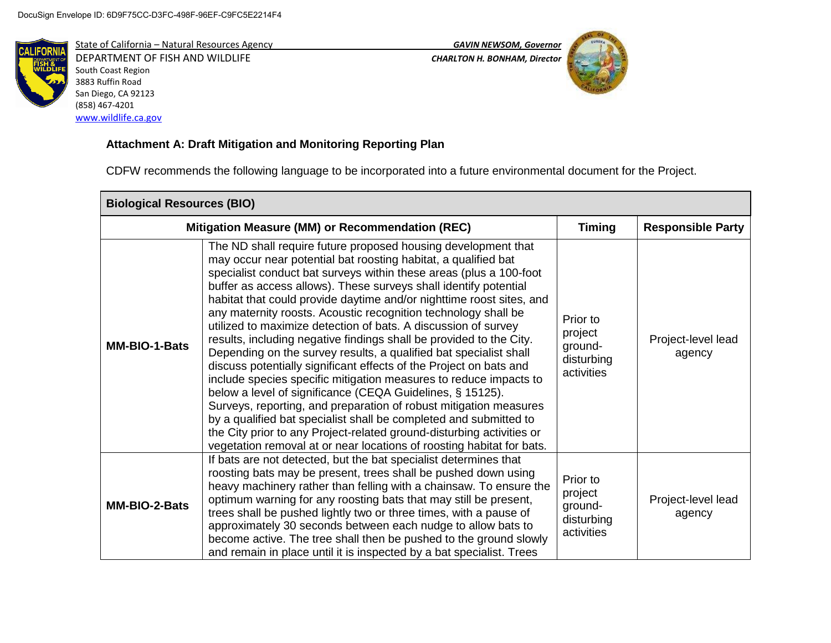

State of California – Natural Resources Agency *GAVIN NEWSOM, Governor* DEPARTMENT OF FISH AND WILDLIFE *CHARLTON H. BONHAM, Director*  South Coast Region 3883 Ruffin Road San Diego, CA 92123 (858) 467-4201 [www.wildlife.ca.gov](http://www.wildlife.ca.gov/)



# **Attachment A: Draft Mitigation and Monitoring Reporting Plan**

CDFW recommends the following language to be incorporated into a future environmental document for the Project.

| <b>Biological Resources (BIO)</b> |                                                                                                                                                                                                                                                                                                                                                                                                                                                                                                                                                                                                                                                                                                                                                                                                                                                                                                                                                                                                                                                                                                                                       |                                                            |                              |
|-----------------------------------|---------------------------------------------------------------------------------------------------------------------------------------------------------------------------------------------------------------------------------------------------------------------------------------------------------------------------------------------------------------------------------------------------------------------------------------------------------------------------------------------------------------------------------------------------------------------------------------------------------------------------------------------------------------------------------------------------------------------------------------------------------------------------------------------------------------------------------------------------------------------------------------------------------------------------------------------------------------------------------------------------------------------------------------------------------------------------------------------------------------------------------------|------------------------------------------------------------|------------------------------|
|                                   | Mitigation Measure (MM) or Recommendation (REC)                                                                                                                                                                                                                                                                                                                                                                                                                                                                                                                                                                                                                                                                                                                                                                                                                                                                                                                                                                                                                                                                                       | <b>Timing</b>                                              | <b>Responsible Party</b>     |
| MM-BIO-1-Bats                     | The ND shall require future proposed housing development that<br>may occur near potential bat roosting habitat, a qualified bat<br>specialist conduct bat surveys within these areas (plus a 100-foot<br>buffer as access allows). These surveys shall identify potential<br>habitat that could provide daytime and/or nighttime roost sites, and<br>any maternity roosts. Acoustic recognition technology shall be<br>utilized to maximize detection of bats. A discussion of survey<br>results, including negative findings shall be provided to the City.<br>Depending on the survey results, a qualified bat specialist shall<br>discuss potentially significant effects of the Project on bats and<br>include species specific mitigation measures to reduce impacts to<br>below a level of significance (CEQA Guidelines, § 15125).<br>Surveys, reporting, and preparation of robust mitigation measures<br>by a qualified bat specialist shall be completed and submitted to<br>the City prior to any Project-related ground-disturbing activities or<br>vegetation removal at or near locations of roosting habitat for bats. | Prior to<br>project<br>ground-<br>disturbing<br>activities | Project-level lead<br>agency |
| <b>MM-BIO-2-Bats</b>              | If bats are not detected, but the bat specialist determines that<br>roosting bats may be present, trees shall be pushed down using<br>heavy machinery rather than felling with a chainsaw. To ensure the<br>optimum warning for any roosting bats that may still be present,<br>trees shall be pushed lightly two or three times, with a pause of<br>approximately 30 seconds between each nudge to allow bats to<br>become active. The tree shall then be pushed to the ground slowly<br>and remain in place until it is inspected by a bat specialist. Trees                                                                                                                                                                                                                                                                                                                                                                                                                                                                                                                                                                        | Prior to<br>project<br>ground-<br>disturbing<br>activities | Project-level lead<br>agency |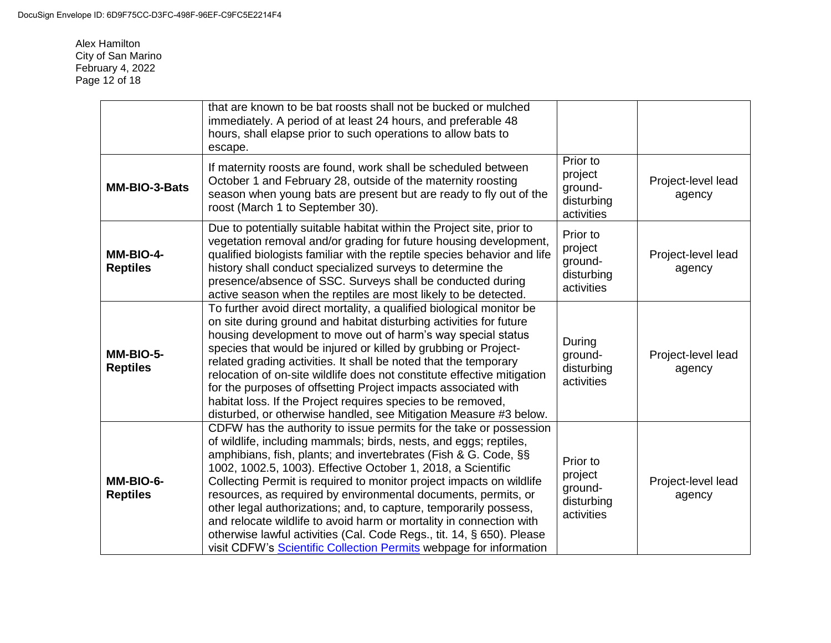Alex Hamilton City of San Marino February 4, 2022 Page 12 of 18

|                              | that are known to be bat roosts shall not be bucked or mulched<br>immediately. A period of at least 24 hours, and preferable 48<br>hours, shall elapse prior to such operations to allow bats to<br>escape.                                                                                                                                                                                                                                                                                                                                                                                                                                                                                                     |                                                            |                              |
|------------------------------|-----------------------------------------------------------------------------------------------------------------------------------------------------------------------------------------------------------------------------------------------------------------------------------------------------------------------------------------------------------------------------------------------------------------------------------------------------------------------------------------------------------------------------------------------------------------------------------------------------------------------------------------------------------------------------------------------------------------|------------------------------------------------------------|------------------------------|
| MM-BIO-3-Bats                | If maternity roosts are found, work shall be scheduled between<br>October 1 and February 28, outside of the maternity roosting<br>season when young bats are present but are ready to fly out of the<br>roost (March 1 to September 30).                                                                                                                                                                                                                                                                                                                                                                                                                                                                        | Prior to<br>project<br>ground-<br>disturbing<br>activities | Project-level lead<br>agency |
| MM-BIO-4-<br><b>Reptiles</b> | Due to potentially suitable habitat within the Project site, prior to<br>vegetation removal and/or grading for future housing development,<br>qualified biologists familiar with the reptile species behavior and life<br>history shall conduct specialized surveys to determine the<br>presence/absence of SSC. Surveys shall be conducted during<br>active season when the reptiles are most likely to be detected.                                                                                                                                                                                                                                                                                           | Prior to<br>project<br>ground-<br>disturbing<br>activities | Project-level lead<br>agency |
| MM-BIO-5-<br><b>Reptiles</b> | To further avoid direct mortality, a qualified biological monitor be<br>on site during ground and habitat disturbing activities for future<br>housing development to move out of harm's way special status<br>species that would be injured or killed by grubbing or Project-<br>related grading activities. It shall be noted that the temporary<br>relocation of on-site wildlife does not constitute effective mitigation<br>for the purposes of offsetting Project impacts associated with<br>habitat loss. If the Project requires species to be removed,<br>disturbed, or otherwise handled, see Mitigation Measure #3 below.                                                                             | During<br>ground-<br>disturbing<br>activities              | Project-level lead<br>agency |
| MM-BIO-6-<br><b>Reptiles</b> | CDFW has the authority to issue permits for the take or possession<br>of wildlife, including mammals; birds, nests, and eggs; reptiles,<br>amphibians, fish, plants; and invertebrates (Fish & G. Code, §§<br>1002, 1002.5, 1003). Effective October 1, 2018, a Scientific<br>Collecting Permit is required to monitor project impacts on wildlife<br>resources, as required by environmental documents, permits, or<br>other legal authorizations; and, to capture, temporarily possess,<br>and relocate wildlife to avoid harm or mortality in connection with<br>otherwise lawful activities (Cal. Code Regs., tit. 14, § 650). Please<br>visit CDFW's Scientific Collection Permits webpage for information | Prior to<br>project<br>ground-<br>disturbing<br>activities | Project-level lead<br>agency |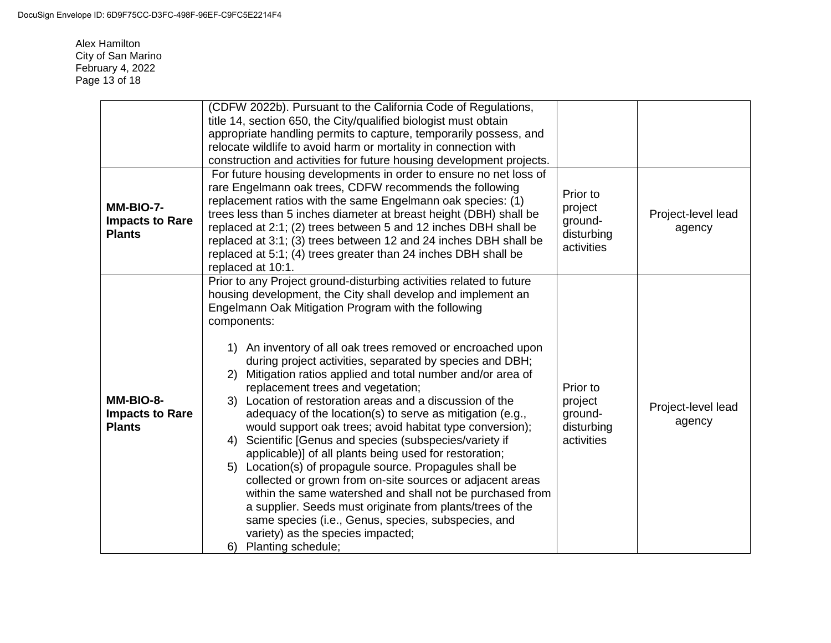Alex Hamilton City of San Marino February 4, 2022 Page 13 of 18

| MM-BIO-7-<br><b>Impacts to Rare</b><br><b>Plants</b> | (CDFW 2022b). Pursuant to the California Code of Regulations,<br>title 14, section 650, the City/qualified biologist must obtain<br>appropriate handling permits to capture, temporarily possess, and<br>relocate wildlife to avoid harm or mortality in connection with<br>construction and activities for future housing development projects.<br>For future housing developments in order to ensure no net loss of<br>rare Engelmann oak trees, CDFW recommends the following<br>replacement ratios with the same Engelmann oak species: (1)<br>trees less than 5 inches diameter at breast height (DBH) shall be<br>replaced at 2:1; (2) trees between 5 and 12 inches DBH shall be<br>replaced at 3:1; (3) trees between 12 and 24 inches DBH shall be<br>replaced at 5:1; (4) trees greater than 24 inches DBH shall be<br>replaced at 10:1.                                                                                                                                                                                                                                                                             | Prior to<br>project<br>ground-<br>disturbing<br>activities | Project-level lead<br>agency |
|------------------------------------------------------|--------------------------------------------------------------------------------------------------------------------------------------------------------------------------------------------------------------------------------------------------------------------------------------------------------------------------------------------------------------------------------------------------------------------------------------------------------------------------------------------------------------------------------------------------------------------------------------------------------------------------------------------------------------------------------------------------------------------------------------------------------------------------------------------------------------------------------------------------------------------------------------------------------------------------------------------------------------------------------------------------------------------------------------------------------------------------------------------------------------------------------|------------------------------------------------------------|------------------------------|
| MM-BIO-8-<br><b>Impacts to Rare</b><br><b>Plants</b> | Prior to any Project ground-disturbing activities related to future<br>housing development, the City shall develop and implement an<br>Engelmann Oak Mitigation Program with the following<br>components:<br>1) An inventory of all oak trees removed or encroached upon<br>during project activities, separated by species and DBH;<br>Mitigation ratios applied and total number and/or area of<br>(2)<br>replacement trees and vegetation;<br>3) Location of restoration areas and a discussion of the<br>adequacy of the location(s) to serve as mitigation (e.g.,<br>would support oak trees; avoid habitat type conversion);<br>4) Scientific [Genus and species (subspecies/variety if<br>applicable)] of all plants being used for restoration;<br>5) Location(s) of propagule source. Propagules shall be<br>collected or grown from on-site sources or adjacent areas<br>within the same watershed and shall not be purchased from<br>a supplier. Seeds must originate from plants/trees of the<br>same species (i.e., Genus, species, subspecies, and<br>variety) as the species impacted;<br>6) Planting schedule; | Prior to<br>project<br>ground-<br>disturbing<br>activities | Project-level lead<br>agency |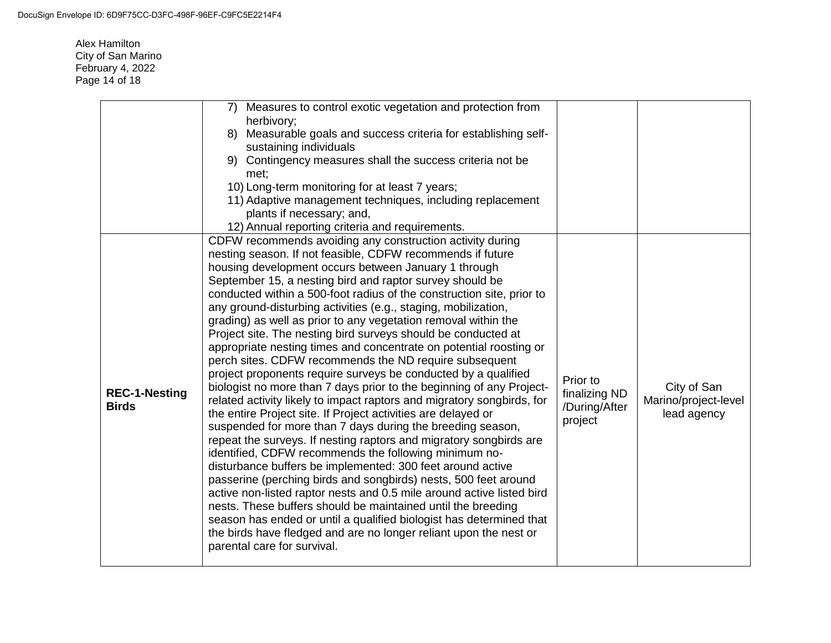Alex Hamilton City of San Marino February 4, 2022 Page 14 of 18

|                                      | 7) Measures to control exotic vegetation and protection from<br>herbivory;<br>8) Measurable goals and success criteria for establishing self-<br>sustaining individuals<br>9) Contingency measures shall the success criteria not be<br>met;<br>10) Long-term monitoring for at least 7 years;<br>11) Adaptive management techniques, including replacement<br>plants if necessary; and,<br>12) Annual reporting criteria and requirements.                                                                                                                                                                                                                                                                                                                                                                                                                                                                                                                                                                                                                                                                                                                                                                                                                                                                                                                                                                                                                                                                                                                                                      |                                                       |                                                    |
|--------------------------------------|--------------------------------------------------------------------------------------------------------------------------------------------------------------------------------------------------------------------------------------------------------------------------------------------------------------------------------------------------------------------------------------------------------------------------------------------------------------------------------------------------------------------------------------------------------------------------------------------------------------------------------------------------------------------------------------------------------------------------------------------------------------------------------------------------------------------------------------------------------------------------------------------------------------------------------------------------------------------------------------------------------------------------------------------------------------------------------------------------------------------------------------------------------------------------------------------------------------------------------------------------------------------------------------------------------------------------------------------------------------------------------------------------------------------------------------------------------------------------------------------------------------------------------------------------------------------------------------------------|-------------------------------------------------------|----------------------------------------------------|
| <b>REC-1-Nesting</b><br><b>Birds</b> | CDFW recommends avoiding any construction activity during<br>nesting season. If not feasible, CDFW recommends if future<br>housing development occurs between January 1 through<br>September 15, a nesting bird and raptor survey should be<br>conducted within a 500-foot radius of the construction site, prior to<br>any ground-disturbing activities (e.g., staging, mobilization,<br>grading) as well as prior to any vegetation removal within the<br>Project site. The nesting bird surveys should be conducted at<br>appropriate nesting times and concentrate on potential roosting or<br>perch sites. CDFW recommends the ND require subsequent<br>project proponents require surveys be conducted by a qualified<br>biologist no more than 7 days prior to the beginning of any Project-<br>related activity likely to impact raptors and migratory songbirds, for<br>the entire Project site. If Project activities are delayed or<br>suspended for more than 7 days during the breeding season,<br>repeat the surveys. If nesting raptors and migratory songbirds are<br>identified, CDFW recommends the following minimum no-<br>disturbance buffers be implemented: 300 feet around active<br>passerine (perching birds and songbirds) nests, 500 feet around<br>active non-listed raptor nests and 0.5 mile around active listed bird<br>nests. These buffers should be maintained until the breeding<br>season has ended or until a qualified biologist has determined that<br>the birds have fledged and are no longer reliant upon the nest or<br>parental care for survival. | Prior to<br>finalizing ND<br>/During/After<br>project | City of San<br>Marino/project-level<br>lead agency |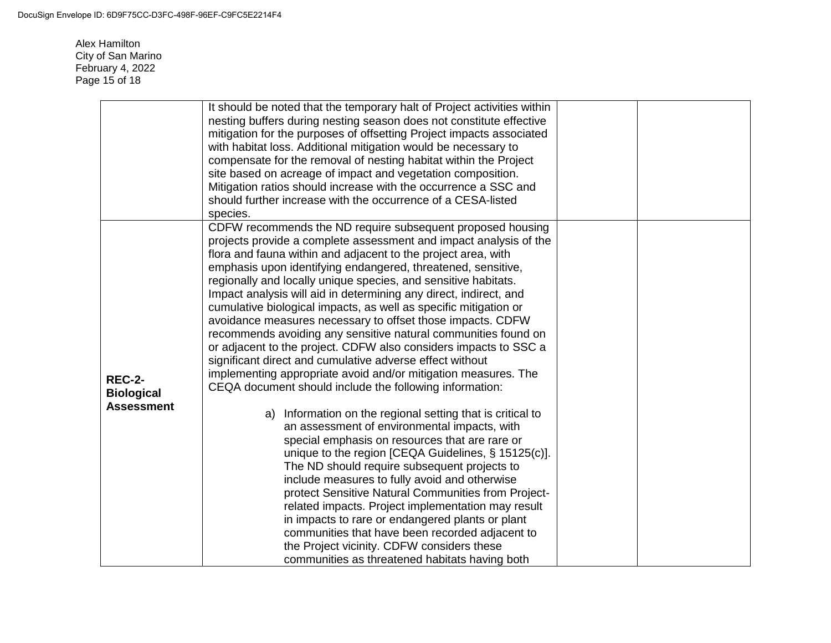Alex Hamilton City of San Marino February 4, 2022 Page 15 of 18

|                   | It should be noted that the temporary halt of Project activities within<br>nesting buffers during nesting season does not constitute effective |
|-------------------|------------------------------------------------------------------------------------------------------------------------------------------------|
|                   | mitigation for the purposes of offsetting Project impacts associated                                                                           |
|                   | with habitat loss. Additional mitigation would be necessary to                                                                                 |
|                   | compensate for the removal of nesting habitat within the Project                                                                               |
|                   | site based on acreage of impact and vegetation composition.                                                                                    |
|                   | Mitigation ratios should increase with the occurrence a SSC and                                                                                |
|                   | should further increase with the occurrence of a CESA-listed                                                                                   |
|                   | species.                                                                                                                                       |
|                   | CDFW recommends the ND require subsequent proposed housing                                                                                     |
|                   | projects provide a complete assessment and impact analysis of the                                                                              |
|                   | flora and fauna within and adjacent to the project area, with                                                                                  |
|                   | emphasis upon identifying endangered, threatened, sensitive,                                                                                   |
|                   | regionally and locally unique species, and sensitive habitats.                                                                                 |
|                   | Impact analysis will aid in determining any direct, indirect, and                                                                              |
|                   | cumulative biological impacts, as well as specific mitigation or                                                                               |
|                   | avoidance measures necessary to offset those impacts. CDFW                                                                                     |
|                   | recommends avoiding any sensitive natural communities found on                                                                                 |
|                   | or adjacent to the project. CDFW also considers impacts to SSC a<br>significant direct and cumulative adverse effect without                   |
|                   | implementing appropriate avoid and/or mitigation measures. The                                                                                 |
| <b>REC-2-</b>     | CEQA document should include the following information:                                                                                        |
| <b>Biological</b> |                                                                                                                                                |
| <b>Assessment</b> | a) Information on the regional setting that is critical to                                                                                     |
|                   | an assessment of environmental impacts, with                                                                                                   |
|                   | special emphasis on resources that are rare or                                                                                                 |
|                   | unique to the region [CEQA Guidelines, § 15125(c)].                                                                                            |
|                   | The ND should require subsequent projects to                                                                                                   |
|                   | include measures to fully avoid and otherwise                                                                                                  |
|                   | protect Sensitive Natural Communities from Project-                                                                                            |
|                   | related impacts. Project implementation may result                                                                                             |
|                   | in impacts to rare or endangered plants or plant                                                                                               |
|                   | communities that have been recorded adjacent to                                                                                                |
|                   | the Project vicinity. CDFW considers these                                                                                                     |
|                   | communities as threatened habitats having both                                                                                                 |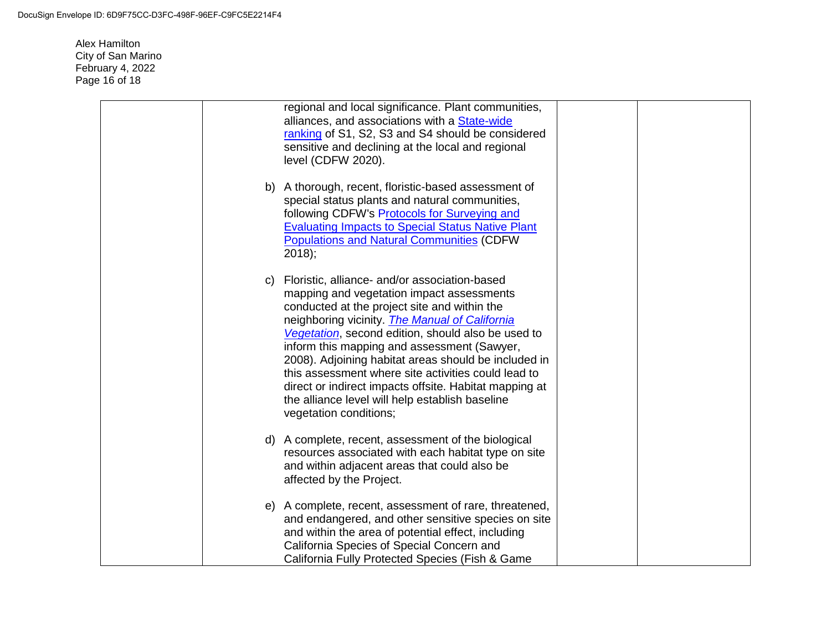Alex Hamilton City of San Marino February 4, 2022 Page 16 of 18

| regional and local significance. Plant communities,<br>alliances, and associations with a State-wide<br>ranking of S1, S2, S3 and S4 should be considered<br>sensitive and declining at the local and regional<br>level (CDFW 2020).                                                                                                                                                                                                                                                                                                                                 |  |
|----------------------------------------------------------------------------------------------------------------------------------------------------------------------------------------------------------------------------------------------------------------------------------------------------------------------------------------------------------------------------------------------------------------------------------------------------------------------------------------------------------------------------------------------------------------------|--|
| b) A thorough, recent, floristic-based assessment of<br>special status plants and natural communities,<br>following CDFW's Protocols for Surveying and<br><b>Evaluating Impacts to Special Status Native Plant</b><br><b>Populations and Natural Communities (CDFW</b><br>$2018$ ;                                                                                                                                                                                                                                                                                   |  |
| Floristic, alliance- and/or association-based<br>C)<br>mapping and vegetation impact assessments<br>conducted at the project site and within the<br>neighboring vicinity. <i>The Manual of California</i><br>Vegetation, second edition, should also be used to<br>inform this mapping and assessment (Sawyer,<br>2008). Adjoining habitat areas should be included in<br>this assessment where site activities could lead to<br>direct or indirect impacts offsite. Habitat mapping at<br>the alliance level will help establish baseline<br>vegetation conditions; |  |
| d) A complete, recent, assessment of the biological<br>resources associated with each habitat type on site<br>and within adjacent areas that could also be<br>affected by the Project.                                                                                                                                                                                                                                                                                                                                                                               |  |
| e) A complete, recent, assessment of rare, threatened,<br>and endangered, and other sensitive species on site<br>and within the area of potential effect, including<br>California Species of Special Concern and<br>California Fully Protected Species (Fish & Game                                                                                                                                                                                                                                                                                                  |  |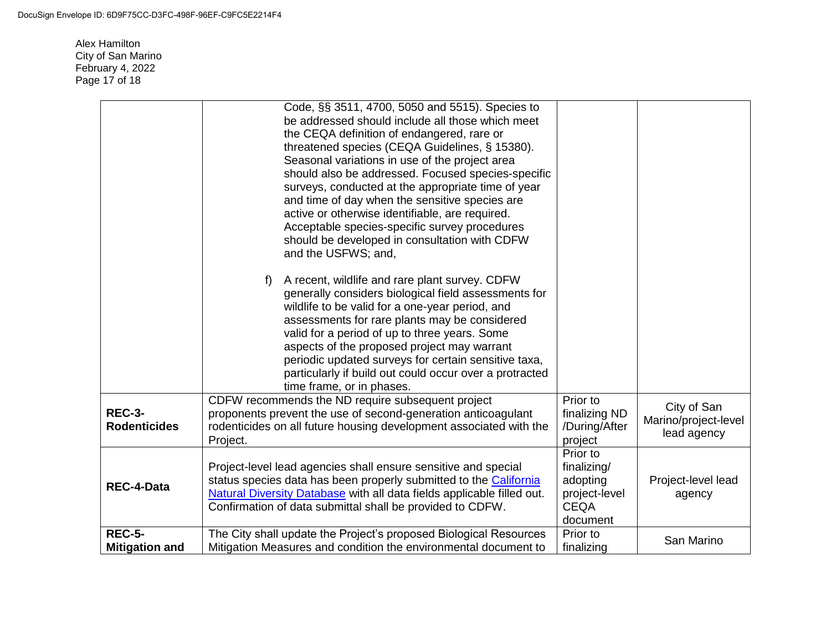Alex Hamilton City of San Marino February 4, 2022 Page 17 of 18

|                                        | Code, §§ 3511, 4700, 5050 and 5515). Species to<br>be addressed should include all those which meet<br>the CEQA definition of endangered, rare or<br>threatened species (CEQA Guidelines, § 15380).<br>Seasonal variations in use of the project area<br>should also be addressed. Focused species-specific<br>surveys, conducted at the appropriate time of year<br>and time of day when the sensitive species are<br>active or otherwise identifiable, are required.<br>Acceptable species-specific survey procedures<br>should be developed in consultation with CDFW<br>and the USFWS; and,<br>A recent, wildlife and rare plant survey. CDFW<br>$f$ )<br>generally considers biological field assessments for<br>wildlife to be valid for a one-year period, and<br>assessments for rare plants may be considered<br>valid for a period of up to three years. Some<br>aspects of the proposed project may warrant<br>periodic updated surveys for certain sensitive taxa,<br>particularly if build out could occur over a protracted<br>time frame, or in phases. |                                                                                 |                                                    |
|----------------------------------------|------------------------------------------------------------------------------------------------------------------------------------------------------------------------------------------------------------------------------------------------------------------------------------------------------------------------------------------------------------------------------------------------------------------------------------------------------------------------------------------------------------------------------------------------------------------------------------------------------------------------------------------------------------------------------------------------------------------------------------------------------------------------------------------------------------------------------------------------------------------------------------------------------------------------------------------------------------------------------------------------------------------------------------------------------------------------|---------------------------------------------------------------------------------|----------------------------------------------------|
| <b>REC-3-</b><br><b>Rodenticides</b>   | CDFW recommends the ND require subsequent project<br>proponents prevent the use of second-generation anticoagulant<br>rodenticides on all future housing development associated with the<br>Project.                                                                                                                                                                                                                                                                                                                                                                                                                                                                                                                                                                                                                                                                                                                                                                                                                                                                   | Prior to<br>finalizing ND<br>/During/After<br>project                           | City of San<br>Marino/project-level<br>lead agency |
| <b>REC-4-Data</b>                      | Project-level lead agencies shall ensure sensitive and special<br>status species data has been properly submitted to the California<br>Natural Diversity Database with all data fields applicable filled out.<br>Confirmation of data submittal shall be provided to CDFW.                                                                                                                                                                                                                                                                                                                                                                                                                                                                                                                                                                                                                                                                                                                                                                                             | Prior to<br>finalizing/<br>adopting<br>project-level<br><b>CEQA</b><br>document | Project-level lead<br>agency                       |
| <b>REC-5-</b><br><b>Mitigation and</b> | The City shall update the Project's proposed Biological Resources<br>Mitigation Measures and condition the environmental document to                                                                                                                                                                                                                                                                                                                                                                                                                                                                                                                                                                                                                                                                                                                                                                                                                                                                                                                                   | Prior to<br>finalizing                                                          | San Marino                                         |